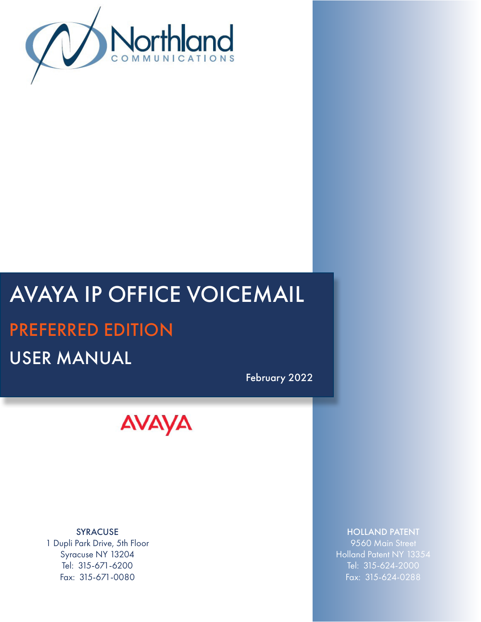

# AVAYA IP OFFICE VOICEMAIL PREFERRED EDITION USER MANUAL

February 2022



SYRACUSE 1 Dupli Park Drive, 5th Floor Syracuse NY 13204 Tel: 315-671-6200 Fax: 315-671-0080

#### HOLLAND PATENT

9560 Main Street Holland Patent NY 13354 Tel: 315-624-2000 Fax: 315-624-0288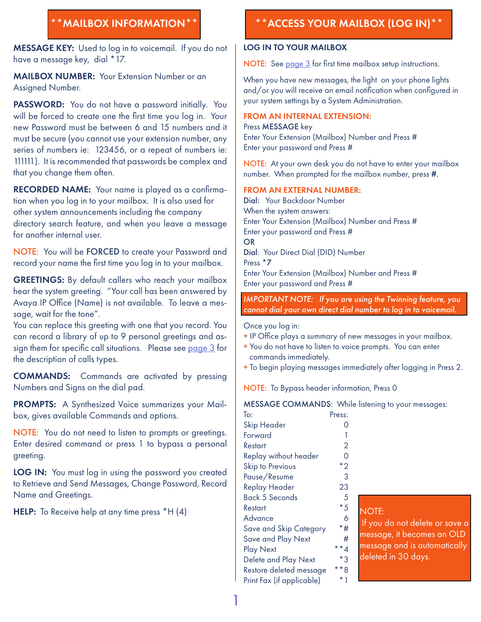<span id="page-1-0"></span>MESSAGE KEY: Used to log in to voicemail. If you do not have a message key, dial \*17.

**MAILBOX NUMBER:** Your Extension Number or an Assigned Number.

PASSWORD: You do not have a password initially. You will be forced to create one the first time you log in. Your new Password must be between 6 and 15 numbers and it must be secure (you cannot use your extension number, any series of numbers ie: 123456, or a repeat of numbers ie: 111111). It is recommended that passwords be complex and that you change them often.

RECORDED NAME: Your name is played as a confirmation when you log in to your mailbox. It is also used for other system announcements including the company directory search feature, and when you leave a message for another internal user.

NOTE: You will be FORCED to create your Password and record your name the first time you log in to your mailbox.

GREETINGS: By default callers who reach your mailbox hear the system greeting. "Your call has been answered by Avaya IP Office (Name) is not available. To leave a message, wait for the tone".

You can replace this greeting with one that you record. You can record a library of up to 9 personal greetings and assign them for specific call situations. Please see [page 3](#page-3-0) for the description of calls types.

COMMANDS: Commands are activated by pressing Numbers and Signs on the dial pad.

PROMPTS: A Synthesized Voice summarizes your Mailbox, gives available Commands and options.

NOTE: You do not need to listen to prompts or greetings. Enter desired command or press 1 to bypass a personal greeting.

LOG IN: You must log in using the password you created to Retrieve and Send Messages, Change Password, Record Name and Greetings.

HELP: To Receive help at any time press \*H (4)

# \*\*MAILBOX INFORMATION\*\* \*\*ACCESS YOUR MAILBOX (LOG IN)\*\*

#### LOG IN TO YOUR MAILBOX

NOTE: See [page 3](#page-3-0) for first time mailbox setup instructions.

When you have new messages, the light on your phone lights and/or you will receive an email notification when configured in your system settings by a System Administration.

#### FROM AN INTERNAL EXTENSION:

Press MESSAGE key Enter Your Extension (Mailbox) Number and Press # Enter your password and Press #

NOTE: At your own desk you do not have to enter your mailbox number. When prompted for the mailbox number, press #.

#### FROM AN EXTERNAL NUMBER:

Dial: Your Backdoor Number When the system answers: Enter Your Extension (Mailbox) Number and Press # Enter your password and Press # OR Dial: Your Direct Dial (DID) Number Press \*7 Enter Your Extension (Mailbox) Number and Press # Enter your password and Press #

#### *IMPORTANT NOTE:* :*If you are using the Twinning feature, you cannot dial your own direct dial number to log in to voicemail.*

Once you log in:

- + IP Office plays a summary of new messages in your mailbox.
- + You do not have to listen to voice prompts. You can enter commands immediately.
- + To begin playing messages immediately after logging in Press 2.

NOTE: To Bypass header information, Press 0

#### MESSAGE COMMANDS: While listening to your messages:

| To:                       | Press:         |
|---------------------------|----------------|
| Skip Header               | 0              |
| Forward                   | 1              |
| Restart                   | $\overline{2}$ |
| Replay without header     | ი              |
| <b>Skip to Previous</b>   | $*_{2}$        |
| Pause/Resume              | 3              |
| Replay Header             | 23             |
| Back 5 Seconds            | 5              |
| Restart                   | * 5            |
| Advance                   | 6              |
| Save and Skip Category    | *#             |
| Save and Play Next        | #              |
| <b>Play Next</b>          | **4            |
| Delete and Play Next      | $*_{3}$        |
| Restore deleted message   | * * g          |
| Print Fax (if applicable) | * 1            |

#### NOTE:

 If you do not delete or save a message, it becomes an OLD message and is automatically deleted in 30 days.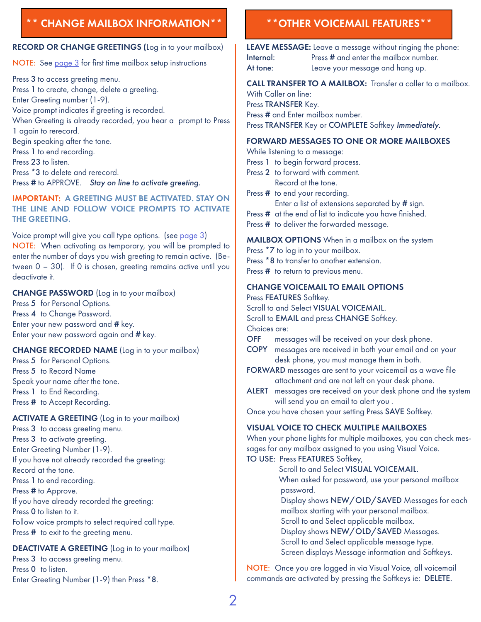## <span id="page-2-0"></span>\*\* CHANGE MAILBOX INFORMATION\*\* \*\*OTHER VOICEMAIL FEATURES\*\*

#### RECORD OR CHANGE GREETINGS (Log in to your mailbox)

NOTE: See [page 3](#page-3-0) for first time mailbox setup instructions

Press 3 to access greeting menu. Press 1 to create, change, delete a greeting. Enter Greeting number (1-9). Voice prompt indicates if greeting is recorded. When Greeting is already recorded, you hear a prompt to Press 1 again to rerecord. Begin speaking after the tone. Press 1 to end recording. Press 23 to listen. Press \*3 to delete and rerecord. Press # to APPROVE. *Stay on line to activate greeting.*

IMPORTANT: A GREETING MUST BE ACTIVATED. STAY ON THE LINE AND FOLLOW VOICE PROMPTS TO ACTIVATE THE GREETING.

Voice prompt will give you call type options. (see [page](#page-3-0) 3) NOTE: When activating as temporary, you will be prompted to enter the number of days you wish greeting to remain active. (Between 0 – 30). If 0 is chosen, greeting remains active until you deactivate it.

#### CHANGE PASSWORD (Log in to your mailbox)

Press 5 for Personal Options. Press 4 to Change Password. Enter your new password and # key. Enter your new password again and # key.

#### CHANGE RECORDED NAME (Log in to your mailbox)

Press 5 for Personal Options. Press 5 to Record Name Speak your name after the tone. Press 1 to End Recording. Press # to Accept Recording.

#### ACTIVATE A GREETING (Log in to your mailbox)

Press 3 to access greeting menu. Press 3 to activate greeting. Enter Greeting Number (1-9). If you have not already recorded the greeting: Record at the tone. Press 1 to end recording. Press # to Approve. If you have already recorded the greeting: Press 0 to listen to it. Follow voice prompts to select required call type. Press  $#$  to exit to the greeting menu.

#### DEACTIVATE A GREETING (Log in to your mailbox)

Press 3 to access greeting menu. Press 0 to listen. Enter Greeting Number (1-9) then Press \*8.

LEAVE MESSAGE: Leave a message without ringing the phone: Internal: Press # and enter the mailbox number. At tone: Leave your message and hang up.

#### CALL TRANSFER TO A MAILBOX: Transfer a caller to a mailbox. With Caller on line:

Press TRANSFER Key.

Press # and Enter mailbox number.

Press TRANSFER Key or COMPLETE Softkey *Immediately.*

#### FORWARD MESSAGES TO ONE OR MORE MAILBOXES

While listening to a message:

- Press 1 to begin forward process.
- Press 2 to forward with comment. Record at the tone.
- Press # to end your recording.
	- Enter a list of extensions separated by # sign.
- Press # at the end of list to indicate you have finished.
- Press # to deliver the forwarded message.

#### MAILBOX OPTIONS When in a mailbox on the system

- Press  $*7$  to log in to your mailbox. Press \*8 to transfer to another extension.
- Press **#** to return to previous menu.

#### CHANGE VOICEMAIL TO EMAIL OPTIONS

Press FEATURES Softkey.

Scroll to and Select VISUAL VOICEMAIL.

Scroll to **EMAIL** and press **CHANGE** Softkey.

Choices are:

- OFF messages will be received on your desk phone.
- COPY messages are received in both your email and on your desk phone, you must manage them in both.
- FORWARD messages are sent to your voicemail as a wave file attachment and are not left on your desk phone.
- ALERT messages are received on your desk phone and the system will send you an email to alert you .

Once you have chosen your setting Press SAVE Softkey.

### VISUAL VOICE TO CHECK MULTIPLE MAILBOXES

When your phone lights for multiple mailboxes, you can check messages for any mailbox assigned to you using Visual Voice.

#### TO USE: Press FEATURES Softkey,

Scroll to and Select VISUAL VOICEMAIL.

 When asked for password, use your personal mailbox password.

 Display shows NEW/OLD/SAVED Messages for each mailbox starting with your personal mailbox.

Scroll to and Select applicable mailbox.

Display shows NEW/OLD/SAVED Messages.

Scroll to and Select applicable message type.

Screen displays Message information and Softkeys.

NOTE: Once you are logged in via Visual Voice, all voicemail commands are activated by pressing the Softkeys ie: DELETE.